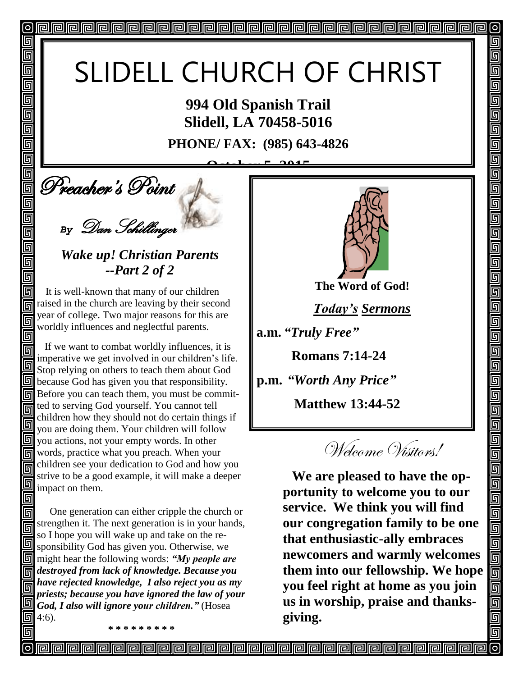# SLIDELL CHURCH OF CHRIST

**994 Old Spanish Trail Slidell, LA 70458-5016**

**PHONE/ FAX: (985) 643-4826**

**L**<sub>ot</sub> 5, 2015

**Deacher's Point** 

回

回 回 同 回 匠 回

回

回

回

靣 回

回

同

同 回

Π

*By* Dan Schillinger

*Wake up! Christian Parents --Part 2 of 2*

It is well-known that many of our children raised in the church are leaving by their second year of college. Two major reasons for this are worldly influences and neglectful parents.

 If we want to combat worldly influences, it is 同 imperative we get involved in our children's life. 回 Stop relying on others to teach them about God **b** because God has given you that responsibility. Before you can teach them, you must be committed to serving God yourself. You cannot tell 同 children how they should not do certain things if 回 you are doing them. Your children will follow  $\Box$  you actions, not your empty words. In other **同** words, practice what you preach. When your children see your dedication to God and how you 同 strive to be a good example, it will make a deeper 回 impact on them. 回

同 One generation can either cripple the church or strengthen it. The next generation is in your hands, 同 so I hope you will wake up and take on the responsibility God has given you. Otherwise, we might hear the following words: *"My people are destroyed from lack of knowledge. Because you have rejected knowledge, I also reject you as my priests; because you have ignored the law of your God, I also will ignore your children."* (Hosea  $\blacksquare$  4:6).





 $\circ$ 

回

5

5

5

5

 $\overline{\mathbb{F}}$ 

回 回 回

回回回

uala<br>La

<u>gloja</u>

 $\overline{\mathsf{g}}$ Ō<br>O 回 回

**The Word of God!**

*Today's Sermons*

**a.m.** *"Truly Free"*

 **Romans 7:14-24**

**p.m.** *"Worth Any Price"*

 **Matthew 13:44-52** 

Welcome Wisitors!

**We are pleased to have the opportunity to welcome you to our service. We think you will find our congregation family to be one that enthusiastic-ally embraces newcomers and warmly welcomes them into our fellowship. We hope you feel right at home as you join us in worship, praise and thanksgiving.**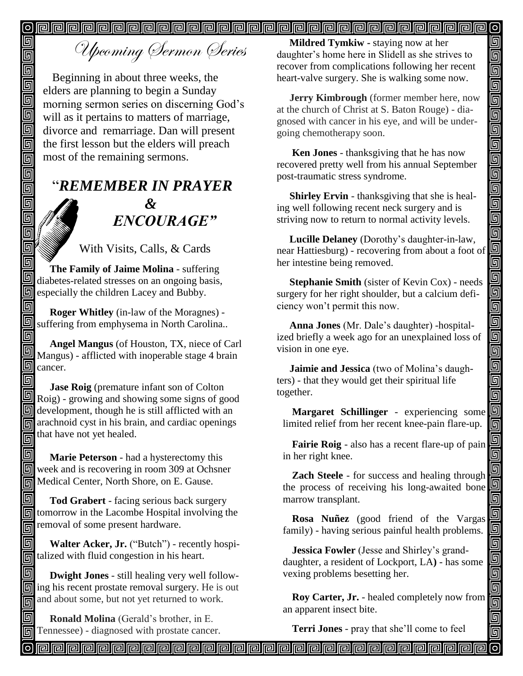[o]

# Upcoming Sermon Series

Beginning in about three weeks, the elders are planning to begin a Sunday morning sermon series on discerning God's will as it pertains to matters of marriage, divorce and remarriage. Dan will present the first lesson but the elders will preach most of the remaining sermons.

回

回

000000

<u>glal</u>

回  $\overline{\mathbb{F}}$ 回  $\Box$ 回 靣 回

5

回

# "*REMEMBER IN PRAYER &* " *ENCOURAGE"*

With Visits, Calls, & Cards

 **The Family of Jaime Molina** - suffering diabetes-related stresses on an ongoing basis, **E** especially the children Lacey and Bubby.

 **Roger Whitley** (in-law of the Moragnes) suffering from emphysema in North Carolina..

 **Angel Mangus** (of Houston, TX, niece of Carl Mangus) - afflicted with inoperable stage 4 brain  $\Box$  cancer.

回 **Jase Roig** (premature infant son of Colton Roig) - growing and showing some signs of good **development, though he is still afflicted with an** arachnoid cyst in his brain, and cardiac openings that have not yet healed. 同

回  **Marie Peterson** - had a hysterectomy this Week and is recovering in room 309 at Ochsner Medical Center, North Shore, on E. Gause.

回 **Tod Grabert** - facing serious back surgery **n** tomorrow in the Lacombe Hospital involving the **removal of some present hardware.** 

回 **Walter Acker, Jr.** ("Butch") - recently hospi- $\overline{5}$  talized with fluid congestion in his heart.

回  **Dwight Jones** - still healing very well follow- $\boxed{6}$  ing his recent prostate removal surgery. He is out and about some, but not yet returned to work. 同

同  **Ronald Molina** (Gerald's brother, in E. **同** Tennessee) - diagnosed with prostate cancer.

 **Mildred Tymkiw -** staying now at her daughter's home here in Slidell as she strives to recover from complications following her recent heart-valve surgery. She is walking some now.

回

画

olei

<u>|o|g</u>

回

g<br>g

回

u<br>Du

900

回

 **Jerry Kimbrough** (former member here, now at the church of Christ at S. Baton Rouge) - diagnosed with cancer in his eye, and will be undergoing chemotherapy soon. Î

 **Ken Jones** - thanksgiving that he has now recovered pretty well from his annual September post-traumatic stress syndrome.

 **Shirley Ervin** - thanksgiving that she is healing well following recent neck surgery and is striving now to return to normal activity levels.

 **Lucille Delaney** (Dorothy's daughter-in-law, near Hattiesburg) - recovering from about a foot of her intestine being removed.

 **Stephanie Smith** (sister of Kevin Cox) - needs surgery for her right shoulder, but a calcium deficiency won't permit this now.

 **Anna Jones** (Mr. Dale's daughter) -hospitalized briefly a week ago for an unexplained loss of vision in one eye.

 **Jaimie and Jessica** (two of Molina's daughters) - that they would get their spiritual life together.

**Margaret Schillinger** - experiencing some limited relief from her recent knee-pain flare-up.

**Fairie Roig** - also has a recent flare-up of pain in her right knee.

**Zach Steele** - for success and healing through the process of receiving his long-awaited bone marrow transplant.

**Rosa Nuñez** (good friend of the Vargas family) - having serious painful health problems.

**Jessica Fowler** (Jesse and Shirley's granddaughter, a resident of Lockport, LA**)** - has some vexing problems besetting her.

**Roy Carter, Jr.** - healed completely now from an apparent insect bite.

**Terri Jones** - pray that she'll come to feel

<u>o popopopopopopopopopopopopopopopopo</u>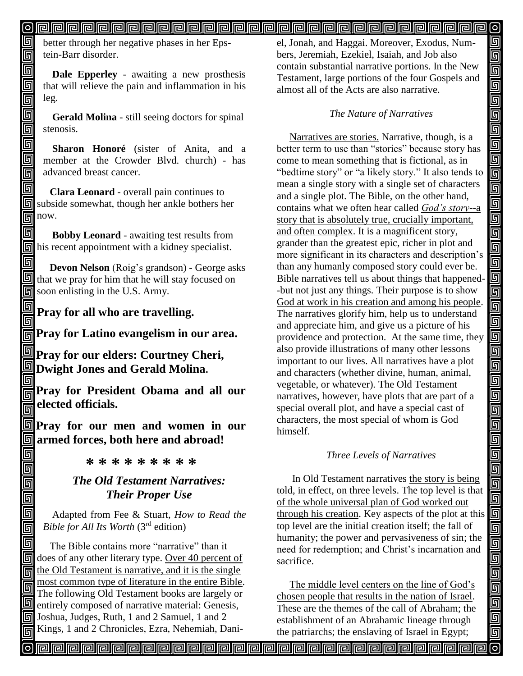#### 01  $\left[ \circ \right]$

better through her negative phases in her Epstein-Barr disorder.

団 回

回 同 回 回 靣

回 同 同

回

同 回 回

o<br>Olo

**Dale Epperley** - awaiting a new prosthesis that will relieve the pain and inflammation in his leg.

**Gerald Molina** - still seeing doctors for spinal stenosis.

**Sharon Honoré** (sister of Anita, and a member at the Crowder Blvd. church) - has advanced breast cancer.

回  **Clara Leonard** - overall pain continues to subside somewhat, though her ankle bothers her  $\overline{\mathbb{F}}$  now.

回  **Bobby Leonard** - awaiting test results from his recent appointment with a kidney specialist.

回 **Devon Nelson** (Roig's grandson) - George asks **that we pray for him that he will stay focused on** soon enlisting in the U.S. Army.

### **Pray for all who are travelling.** 同

**Pray for Latino evangelism in our area.**

**Pray for our elders: Courtney Cheri, Dwight Jones and Gerald Molina.** 同

**Pray for President Obama and all our elected officials.** 

**Pray for our men and women in our armed forces, both here and abroad!**

**\* \* \* \* \* \* \* \* \***

### *The Old Testament Narratives: Their Proper Use*

Adapted from Fee & Stuart, *How to Read the Bible for All Its Worth* (3rd edition)

回 The Bible contains more "narrative" than it does of any other literary type. Over 40 percent of  $\overline{\text{m}}$  the Old Testament is narrative, and it is the single most common type of literature in the entire Bible. 同 The following Old Testament books are largely or  $\Box$  entirely composed of narrative material: Genesis, Joshua, Judges, Ruth, 1 and 2 Samuel, 1 and 2 Kings, 1 and 2 Chronicles, Ezra, Nehemiah, Dani-同

el, Jonah, and Haggai. Moreover, Exodus, Numbers, Jeremiah, Ezekiel, Isaiah, and Job also contain substantial narrative portions. In the New Testament, large portions of the four Gospels and almost all of the Acts are also narrative.

回

回

<u>sieigis i</u>

اواواواواواواواواواواواواواواواوا

<u>sigisis</u>

画画

回回回

olololo

<u>gigig</u>

回

#### *The Nature of Narratives*

 Narratives are stories. Narrative, though, is a better term to use than "stories" because story has come to mean something that is fictional, as in "bedtime story" or "a likely story." It also tends to mean a single story with a single set of characters and a single plot. The Bible, on the other hand, contains what we often hear called *God's story*--a story that is absolutely true, crucially important, and often complex. It is a magnificent story, grander than the greatest epic, richer in plot and more significant in its characters and description's than any humanly composed story could ever be. Bible narratives tell us about things that happened- -but not just any things. Their purpose is to show God at work in his creation and among his people. The narratives glorify him, help us to understand and appreciate him, and give us a picture of his providence and protection. At the same time, they also provide illustrations of many other lessons important to our lives. All narratives have a plot and characters (whether divine, human, animal, vegetable, or whatever). The Old Testament narratives, however, have plots that are part of a special overall plot, and have a special cast of characters, the most special of whom is God himself.

#### *Three Levels of Narratives*

 In Old Testament narratives the story is being told, in effect, on three levels. The top level is that of the whole universal plan of God worked out through his creation. Key aspects of the plot at this top level are the initial creation itself; the fall of humanity; the power and pervasiveness of sin; the need for redemption; and Christ's incarnation and sacrifice.

The middle level centers on the line of God's chosen people that results in the nation of Israel. These are the themes of the call of Abraham; the establishment of an Abrahamic lineage through the patriarchs; the enslaving of Israel in Egypt;